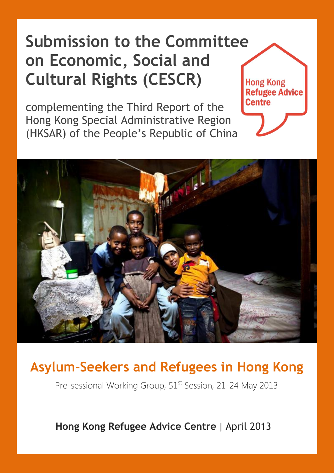#### **Submission to the Committee on Economic, Social and Cultural Rights (CESCR) Hong Kong Refugee Advice**

complementing the Third Report of the Hong Kong Special Administrative Region (HKSAR) of the People's Republic of China



**Centre** 

#### **Asylum-Seekers and Refugees in Hong Kong**

Pre-sessional Working Group, 51<sup>st</sup> Session, 21-24 May 2013

 **Hong Kong Refugee Advice Centre** | April 2013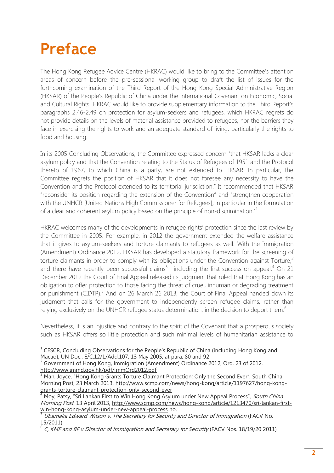# **Preface**

The Hong Kong Refugee Advice Centre (HKRAC) would like to bring to the Committee's attention areas of concern before the pre-sessional working group to draft the list of issues for the forthcoming examination of the Third Report of the Hong Kong Special Administrative Region (HKSAR) of the People's Republic of China under the International Covenant on Economic, Social and Cultural Rights. HKRAC would like to provide supplementary information to the Third Report's paragraphs 2.46-2.49 on protection for asylum-seekers and refugees, which HKRAC regrets do not provide details on the levels of material assistance provided to refugees, nor the barriers they face in exercising the rights to work and an adequate standard of living, particularly the rights to food and housing.

In its 2005 Concluding Observations, the Committee expressed concern "that HKSAR lacks a clear asylum policy and that the Convention relating to the Status of Refugees of 1951 and the Protocol thereto of 1967, to which China is a party, are not extended to HKSAR. In particular, the Committee regrets the position of HKSAR that it does not foresee any necessity to have the Convention and the Protocol extended to its territorial jurisdiction." It recommended that HKSAR "reconsider its position regarding the extension of the Convention" and "strengthen cooperation with the UNHCR [United Nations High Commissioner for Refugees], in particular in the formulation of a clear and coherent asylum policy based on the principle of non-discrimination."<sup>1</sup>

HKRAC welcomes many of the developments in refugee rights' protection since the last review by the Committee in 2005. For example, in 2012 the government extended the welfare assistance that it gives to asylum-seekers and torture claimants to refugees as well. With the Immigration (Amendment) Ordinance 2012, HKSAR has developed a statutory framework for the screening of torture claimants in order to comply with its obligations under the Convention against Torture,<sup>2</sup> and there have recently been successful claims<sup>3</sup>—including the first success on appeal.<sup>4</sup> On 21 December 2012 the Court of Final Appeal released its judgment that ruled that Hong Kong has an obligation to offer protection to those facing the threat of cruel, inhuman or degrading treatment or punishment (CIDTP).<sup>5</sup> And on 26 March 26 2013, the Court of Final Appeal handed down its judgment that calls for the government to independently screen refugee claims, rather than relying exclusively on the UNHCR refugee status determination, in the decision to deport them.<sup>6</sup>

Nevertheless, it is an injustice and contrary to the spirit of the Covenant that a prosperous society such as HKSAR offers so little protection and such minimal levels of humanitarian assistance to

<sup>&</sup>lt;u>Land Conculum Concent Concol</u><br><sup>1</sup> CESCR, Concluding Observations for the People's Republic of China (including Hong Kong and Macao), UN Doc.: E/C.12/1/Add.107, 13 May 2005, at para. 80 and 92

 $2^{2}$  Government of Hong Kong, Immigration (Amendment) Ordinance 2012, Ord. 23 of 2012. <http://www.immd.gov.hk/pdf/ImmOrd2012.pdf>

<sup>3</sup> Man, Joyce, "Hong Kong Grants Torture Claimant Protection; Only the Second Ever", South China Morning Post, 23 March 2013, [http://www.scmp.com/news/hong-kong/article/1197627/hong-kong](http://www.scmp.com/news/hong-kong/article/1197627/hong-kong-grants-torture-claimant-protection-only-second-ever)[grants-torture-claimant-protection-only-second-ever](http://www.scmp.com/news/hong-kong/article/1197627/hong-kong-grants-torture-claimant-protection-only-second-ever)

Moy, Patsy, "Sri Lankan First to Win Hong Kong Asylum under New Appeal Process", South China Morning Post, 13 April 2013, [http://www.scmp.com/news/hong-kong/article/1213470/sri-lankan-first](http://www.scmp.com/news/hong-kong/article/1213470/sri-lankan-first-win-hong-kong-asylum-under-new-appeal-process)[win-hong-kong-asylum-under-new-appeal-process](http://www.scmp.com/news/hong-kong/article/1213470/sri-lankan-first-win-hong-kong-asylum-under-new-appeal-process) no.

Ubamaka Edward Wilson v. The Secretary for Security and Director of Immigration (FACV No. 15/2011)

 $^6$  C, KMF and BF v Director of Immigration and Secretary for Security (FACV Nos. 18/19/20 2011)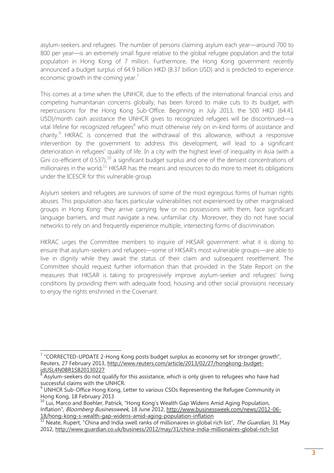asylum-seekers and refugees. The number of persons claiming asylum each year—around 700 to 800 per year—is an extremely small figure relative to the global refugee population and the total population in Hong Kong of 7 million. Furthermore, the Hong Kong government recently announced a budget surplus of 64.9 billion HKD (8.37 billion USD) and is predicted to experience economic growth in the coming year. $<sup>7</sup>$ </sup>

This comes at a time when the UNHCR, due to the effects of the international financial crisis and competing humanitarian concerns globally, has been forced to make cuts to its budget, with repercussions for the Hong Kong Sub-Office. Beginning in July 2013, the 500 HKD (64.41 USD)/month cash assistance the UNHCR gives to recognized refugees will be discontinued—a vital lifeline for recognized refugees<sup>8</sup> who must otherwise rely on in-kind forms of assistance and charity.<sup>9</sup> HKRAC is concerned that the withdrawal of this allowance, without a responsive intervention by the government to address this development, will lead to a significant deterioration in refugees' quality of life. In a city with the highest level of inequality in Asia (with a Gini co-efficient of 0.537),  $10^{\circ}$  a significant budget surplus and one of the densest concentrations of millionaires in the world, $11$  HKSAR has the means and resources to do more to meet its obligations under the ICESCR for this vulnerable group.

Asylum seekers and refugees are survivors of some of the most egregious forms of human rights abuses. This population also faces particular vulnerabilities not experienced by other marginalised groups in Hong Kong: they arrive carrying few or no possessions with them, face significant language barriers, and must navigate a new, unfamiliar city. Moreover, they do not have social networks to rely on and frequently experience multiple, intersecting forms of discrimination.

HKRAC urges the Committee members to inquire of HKSAR government: what it is doing to ensure that asylum-seekers and refugees—some of HKSAR's most vulnerable groups—are able to live in dignity while they await the status of their claim and subsequent resettlement. The Committee should request further information than that provided in the State Report on the measures that HKSAR is taking to progressively improve asylum-seeker and refugees' living conditions by providing them with adequate food, housing and other social provisions necessary to enjoy the rights enshrined in the Covenant.

 7 "CORRECTED-UPDATE 2-Hong Kong posts budget surplus as economy set for stronger growth", Reuters, 27 February 2013, [http://www.reuters.com/article/2013/02/27/hongkong-budget](http://www.reuters.com/article/2013/02/27/hongkong-budget-idUSL4N0BR1SB20130227)[idUSL4N0BR1SB20130227](http://www.reuters.com/article/2013/02/27/hongkong-budget-idUSL4N0BR1SB20130227)

<sup>8</sup> Asylum-seekers do not qualify for this assistance, which is only given to refugees who have had successful claims with the UNHCR.

 $9$  UNHCR Sub-Office Hong Kong, Letter to various CSOs Representing the Refugee Community in Hong Kong, 18 February 2013

 $10$  Lui, Marco and Boehler, Patrick, "Hong Kong's Wealth Gap Widens Amid Aging Population, Inflation", Bloomberg Businessweek, 18 June 2012, [http://www.businessweek.com/news/2012-06-](http://www.businessweek.com/news/2012-06-18/hong-kong-s-wealth-gap-widens-amid-aging-population-inflation) [18/hong-kong-s-wealth-gap-widens-amid-aging-population-inflation](http://www.businessweek.com/news/2012-06-18/hong-kong-s-wealth-gap-widens-amid-aging-population-inflation)

<sup>10 10 11</sup> Neate, Rupert, "China and India swell ranks of millionaires in global rich list", The Guardian, 31 May 2012,<http://www.guardian.co.uk/business/2012/may/31/china-india-millionaires-global-rich-list>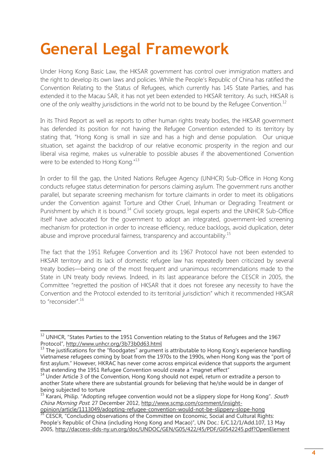# **General Legal Framework**

Under Hong Kong Basic Law, the HKSAR government has control over immigration matters and the right to develop its own laws and policies. While the People's Republic of China has ratified the Convention Relating to the Status of Refugees, which currently has 145 State Parties, and has extended it to the Macau SAR, it has not yet been extended to HKSAR territory. As such, HKSAR is one of the only wealthy jurisdictions in the world not to be bound by the Refugee Convention.<sup>12</sup>

In its Third Report as well as reports to other human rights treaty bodies, the HKSAR government has defended its position for not having the Refugee Convention extended to its territory by stating that, "Hong Kong is small in size and has a high and dense population. Our unique situation, set against the backdrop of our relative economic prosperity in the region and our liberal visa regime, makes us vulnerable to possible abuses if the abovementioned Convention were to be extended to Hong Kong."<sup>13</sup>

In order to fill the gap, the United Nations Refugee Agency (UNHCR) Sub-Office in Hong Kong conducts refugee status determination for persons claiming asylum. The government runs another parallel, but separate screening mechanism for torture claimants in order to meet its obligations under the Convention against Torture and Other Cruel, Inhuman or Degrading Treatment or Punishment by which it is bound.<sup>14</sup> Civil society groups, legal experts and the UNHCR Sub-Office itself have advocated for the government to adopt an integrated, government-led screening mechanism for protection in order to increase efficiency, reduce backlogs, avoid duplication, deter abuse and improve procedural fairness, transparency and accountability.<sup>15</sup>

The fact that the 1951 Refugee Convention and its 1967 Protocol have not been extended to HKSAR territory and its lack of domestic refugee law has repeatedly been criticized by several treaty bodies—being one of the most frequent and unanimous recommendations made to the State in UN treaty body reviews. Indeed, in its last appearance before the CESCR in 2005, the Committee "regretted the position of HKSAR that it does not foresee any necessity to have the Convention and the Protocol extended to its territorial jurisdiction" which it recommended HKSAR to "reconsider". 16

 $\overline{\phantom{a}}$  $12$  UNHCR, "States Parties to the 1951 Convention relating to the Status of Refugees and the 1967 Protocol", <http://www.unhcr.org/3b73b0d63.html>

<sup>&</sup>lt;sup>13</sup> The justifications for the "floodgates" argument is attributable to Hong Kong's experience handling Vietnamese refugees coming by boat from the 1970s to the 1990s, when Hong Kong was the "port of first asylum." However, HKRAC has never come across empirical evidence that supports the argument that extending the 1951 Refugee Convention would create a "magnet effect"

<sup>&</sup>lt;sup>14</sup> Under Article 3 of the Convention, Hong Kong should not expel, return or extradite a person to another State where there are substantial grounds for believing that he/she would be in danger of being subjected to torture

 $15$  Karani, Philip. "Adopting refugee convention would not be a slippery slope for Hong Kong". South China Morning Post. 27 December 2012, [http://www.scmp.com/comment/insight-](http://www.scmp.com/comment/insight-opinion/article/1113049/adopting-refugee-convention-would-not-be-slippery-slope-hong)

[opinion/article/1113049/adopting-refugee-convention-would-not-be-slippery-slope-hong](http://www.scmp.com/comment/insight-opinion/article/1113049/adopting-refugee-convention-would-not-be-slippery-slope-hong) <sup>16</sup> CESCR, "Concluding observations of the Committee on Economic, Social and Cultural Rights: People's Republic of China (including Hong Kong and Macao)", UN Doc.: E/C.12/1/Add.107, 13 May 2005,<http://daccess-dds-ny.un.org/doc/UNDOC/GEN/G05/422/45/PDF/G0542245.pdf?OpenElement>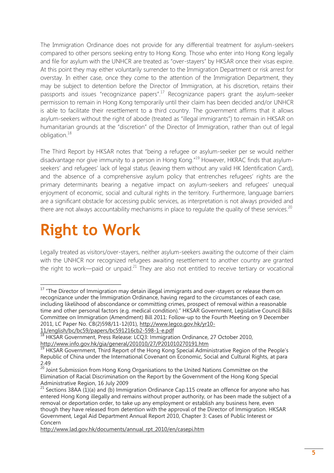The Immigration Ordinance does not provide for any differential treatment for asylum-seekers compared to other persons seeking entry to Hong Kong. Those who enter into Hong Kong legally and file for asylum with the UNHCR are treated as "over-stayers" by HKSAR once their visas expire. At this point they may either voluntarily surrender to the Immigration Department or risk arrest for overstay. In either case, once they come to the attention of the Immigration Department, they may be subject to detention before the Director of Immigration, at his discretion, retains their passports and issues "recognizance papers".<sup>17</sup> Recognizance papers grant the asylum-seeker permission to remain in Hong Kong temporarily until their claim has been decided and/or UNHCR is able to facilitate their resettlement to a third country. The government affirms that it allows asylum-seekers without the right of abode (treated as "illegal immigrants") to remain in HKSAR on humanitarian grounds at the "discretion" of the Director of Immigration, rather than out of legal obligation.<sup>18</sup>

The Third Report by HKSAR notes that "being a refugee or asylum-seeker per se would neither disadvantage nor give immunity to a person in Hong Kong."<sup>19</sup> However, HKRAC finds that asylumseekers' and refugees' lack of legal status (leaving them without any valid HK Identification Card), and the absence of a comprehensive asylum policy that entrenches refugees' rights are the primary determinants bearing a negative impact on asylum-seekers and refugees' unequal enjoyment of economic, social and cultural rights in the territory. Furthermore, language barriers are a significant obstacle for accessing public services, as interpretation is not always provided and there are not always accountability mechanisms in place to regulate the quality of these services.<sup>20</sup>

### **Right to Work**

Legally treated as visitors/over-stayers, neither asylum-seekers awaiting the outcome of their claim with the UNHCR nor recognized refugees awaiting resettlement to another country are granted the right to work—paid or unpaid. $^{21}$  They are also not entitled to receive tertiary or vocational

**<sup>.</sup>**  $17$  "The Director of Immigration may detain illegal immigrants and over-stayers or release them on recognizance under the Immigration Ordinance, having regard to the circumstances of each case, including likelihood of abscondance or committing crimes, prospect of removal within a reasonable time and other personal factors (e.g. medical condition)." HKSAR Government, Legislative Council Bills Committee on Immigration (Amendment) Bill 2011: Follow-up to the Fourth Meeting on 9 December 2011, LC Paper No. CB(2)598/11-12(01), [http://www.legco.gov.hk/yr10-](http://www.legco.gov.hk/yr10-11/english/bc/bc59/papers/bc591216cb2-598-1-e.pdf)

[<sup>11/</sup>english/bc/bc59/papers/bc591216cb2-598-1-e.pdf](http://www.legco.gov.hk/yr10-11/english/bc/bc59/papers/bc591216cb2-598-1-e.pdf) 

<sup>11/</sup>englush/bc/bc*31/papers/bc321210002* 338 1 C.p.m.<br><sup>18</sup> HKSAR Government, Press Release: LCQ3: Immigration Ordinance, 27 October 2010, <http://www.info.gov.hk/gia/general/201010/27/P201010270191.htm>

<sup>&</sup>lt;sup>19</sup> HKSAR Government, Third Report of the Hong Kong Special Administrative Region of the People's Republic of China under the International Covenant on Economic, Social and Cultural Rights, at para 2.49

<sup>&</sup>lt;sup>20</sup> Joint Submission from Hong Kong Organisations to the United Nations Committee on the Elimination of Racial Discrimination on the Report by the Government of the Hong Kong Special Administrative Region, 16 July 2009

<sup>&</sup>lt;sup>21</sup> Sections 38AA (1)(a) and (b) Immigration Ordinance Cap.115 create an offence for anyone who has entered Hong Kong illegally and remains without proper authority, or has been made the subject of a removal or deportation order, to take up any employment or establish any business here, even though they have released from detention with the approval of the Director of Immigration. HKSAR Government, Legal Aid Department Annual Report 2010, Chapter 3: Cases of Public Interest or Concern

[http://www.lad.gov.hk/documents/annual\\_rpt\\_2010/en/casepi.htm](http://www.lad.gov.hk/documents/annual_rpt_2010/en/casepi.htm)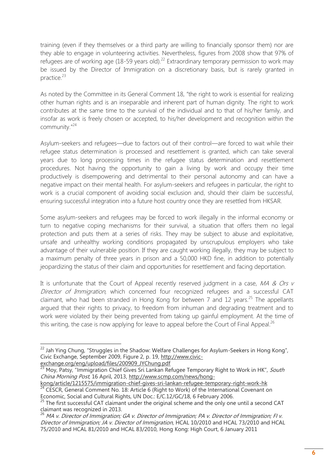training (even if they themselves or a third party are willing to financially sponsor them) nor are they able to engage in volunteering activities. Nevertheless, figures from 2008 show that 97% of refugees are of working age (18-59 years old).<sup>22</sup> Extraordinary temporary permission to work may be issued by the Director of Immigration on a discretionary basis, but is rarely granted in practice. 23

As noted by the Committee in its General Comment 18, "the right to work is essential for realizing other human rights and is an inseparable and inherent part of human dignity. The right to work contributes at the same time to the survival of the individual and to that of his/her family, and insofar as work is freely chosen or accepted, to his/her development and recognition within the community." 24

Asylum-seekers and refugees—due to factors out of their control—are forced to wait while their refugee status determination is processed and resettlement is granted, which can take several years due to long processing times in the refugee status determination and resettlement procedures. Not having the opportunity to gain a living by work and occupy their time productively is disempowering and detrimental to their personal autonomy and can have a negative impact on their mental health. For asylum-seekers and refugees in particular, the right to work is a crucial component of avoiding social exclusion and, should their claim be successful, ensuring successful integration into a future host country once they are resettled from HKSAR.

Some asylum-seekers and refugees may be forced to work illegally in the informal economy or turn to negative coping mechanisms for their survival, a situation that offers them no legal protection and puts them at a series of risks. They may be subject to abuse and exploitative, unsafe and unhealthy working conditions propagated by unscrupulous employers who take advantage of their vulnerable position. If they are caught working illegally, they may be subject to a maximum penalty of three years in prison and a 50,000 HKD fine, in addition to potentially jeopardizing the status of their claim and opportunities for resettlement and facing deportation.

It is unfortunate that the Court of Appeal recently reserved judgment in a case,  $MA & Ors$ Director of Immigration, which concerned four recognized refugees and a successful CAT claimant, who had been stranded in Hong Kong for between  $7$  and  $12$  years.<sup>25</sup> The appellants argued that their rights to privacy, to freedom from inhuman and degrading treatment and to work were violated by their being prevented from taking up gainful employment. At the time of this writing, the case is now applying for leave to appeal before the Court of Final Appeal.<sup>26</sup>

[kong/article/1215575/immigration-chief-gives-sri-lankan-refugee-temporary-right-work-hk](http://www.scmp.com/news/hong-kong/article/1215575/immigration-chief-gives-sri-lankan-refugee-temporary-right-work-hk) <sup>24</sup> CESCR, General Comment No. 18: Article 6 (Right to Work) of the International Covenant on Economic, Social and Cultural Rights, UN Doc.: E/C.12/GC/18, 6 February 2006.

**.** 

 $^{22}$  Jah Ying Chung, "Struggles in the Shadow: Welfare Challenges for Asylum-Seekers in Hong Kong", Civic Exchange, September 2009, Figure 2, p. 19[, http://www.civic](http://www.civic-exchange.org/eng/upload/files/200909_JYChung.pdf)[exchange.org/eng/upload/files/200909\\_JYChung.pdf](http://www.civic-exchange.org/eng/upload/files/200909_JYChung.pdf)

<sup>&</sup>lt;sup>23</sup> Moy, Patsy, "Immigration Chief Gives Sri Lankan Refugee Temporary Right to Work in HK", South China Morning Post, 16 April, 2013, [http://www.scmp.com/news/hong-](http://www.scmp.com/news/hong-kong/article/1215575/immigration-chief-gives-sri-lankan-refugee-temporary-right-work-hk)

 $25$  The first successful CAT claimant under the original scheme and the only one until a second CAT claimant was recognized in 2013.

<sup>&</sup>lt;sup>26</sup> MA v. Director of Immigration; GA v. Director of Immigration; PA v. Director of Immigration; FI v. Director of Immigration; JA v. Director of Immigration, HCAL 10/2010 and HCAL 73/2010 and HCAL 75/2010 and HCAL 81/2010 and HCAL 83/2010, Hong Kong: High Court, 6 January 2011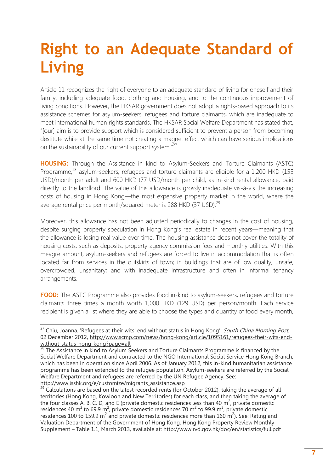# **Right to an Adequate Standard of Living**

Article 11 recognizes the right of everyone to an adequate standard of living for oneself and their family, including adequate food, clothing and housing, and to the continuous improvement of living conditions. However, the HKSAR government does not adopt a rights-based approach to its assistance schemes for asylum-seekers, refugees and torture claimants, which are inadequate to meet international human rights standards. The HKSAR Social Welfare Department has stated that, "[our] aim is to provide support which is considered sufficient to prevent a person from becoming destitute while at the same time not creating a magnet effect which can have serious implications on the sustainability of our current support system."<sup>27</sup>

**HOUSING:** Through the Assistance in kind to Asylum-Seekers and Torture Claimants (ASTC) Programme,<sup>28</sup> asylum-seekers, refugees and torture claimants are eligible for a 1,200 HKD (155 USD)/month per adult and 600 HKD (77 USD/month per child, as in-kind rental allowance, paid directly to the landlord. The value of this allowance is grossly inadequate vis-à-vis the increasing costs of housing in Hong Kong—the most expensive property market in the world, where the average rental price per month/squared meter is 288 HKD (37 USD).<sup>29</sup>

Moreover, this allowance has not been adjusted periodically to changes in the cost of housing, despite surging property speculation in Hong Kong's real estate in recent years—meaning that the allowance is losing real value over time. The housing assistance does not cover the totality of housing costs, such as deposits, property agency commission fees and monthly utilities. With this meagre amount, asylum-seekers and refugees are forced to live in accommodation that is often located far from services in the outskirts of town; in buildings that are of low quality, unsafe, overcrowded, unsanitary; and with inadequate infrastructure and often in informal tenancy arrangements.

**FOOD:** The ASTC Programme also provides food in-kind to asylum-seekers, refugees and torture claimants three times a month worth 1,000 HKD (129 USD) per person/month. Each service recipient is given a list where they are able to choose the types and quantity of food every month,

 $\overline{\phantom{a}}$ <sup>27</sup> Chiu, Joanna. 'Refugees at their wits' end without status in Hong Kong'. *South China Morning Post*. 02 December 2012, [http://www.scmp.com/news/hong-kong/article/1095161/refugees-their-wits-end](http://www.scmp.com/news/hong-kong/article/1095161/refugees-their-wits-end-without-status-hong-kong?page=all)[without-status-hong-kong?page=all](http://www.scmp.com/news/hong-kong/article/1095161/refugees-their-wits-end-without-status-hong-kong?page=all)

 $28$  The Assistance in kind to Asylum Seekers and Torture Claimants Programme is financed by the Social Welfare Department and contracted to the NGO International Social Service Hong Kong Branch, which has been in operation since April 2006. As of January 2012, this in-kind humanitarian assistance programme has been extended to the refugee population. Asylum-seekers are referred by the Social Welfare Department and refugees are referred by the UN Refugee Agency. See: [http://www.isshk.org/e/customize/migrants\\_assistance.asp](http://www.isshk.org/e/customize/migrants_assistance.asp)

 $29$  Calculations are based on the latest recorded rents (for October 2012), taking the average of all territories (Hong Kong, Kowloon and New Territories) for each class, and then taking the average of the four classes A, B, C, D, and E (private domestic residences less than 40  $m^2$ , private domestic residences 40 m<sup>2</sup> to 69.9 m<sup>2</sup>, private domestic residences 70 m<sup>2</sup> to 99.9 m<sup>2</sup>, private domestic residences 100 to 159.9 m<sup>2</sup> and private domestic residences more than 160 m<sup>2</sup>). See: Rating and Valuation Department of the Government of Hong Kong, Hong Kong Property Review Monthly Supplement – Table 1.1, March 2013, available at:<http://www.rvd.gov.hk/doc/en/statistics/full.pdf>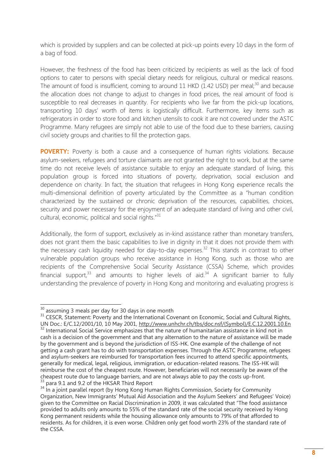which is provided by suppliers and can be collected at pick-up points every 10 days in the form of a bag of food.

However, the freshness of the food has been criticized by recipients as well as the lack of food options to cater to persons with special dietary needs for religious, cultural or medical reasons. The amount of food is insufficient, coming to around 11 HKD (1.42 USD) per meal;<sup>30</sup> and because the allocation does not change to adjust to changes in food prices, the real amount of food is susceptible to real decreases in quantity. For recipients who live far from the pick-up locations, transporting 10 days' worth of items is logistically difficult. Furthermore, key items such as refrigerators in order to store food and kitchen utensils to cook it are not covered under the ASTC Programme. Many refugees are simply not able to use of the food due to these barriers, causing civil society groups and charities to fill the protection gaps.

**POVERTY:** Poverty is both a cause and a consequence of human rights violations. Because asylum-seekers, refugees and torture claimants are not granted the right to work, but at the same time do not receive levels of assistance suitable to enjoy an adequate standard of living, this population group is forced into situations of poverty, deprivation, social exclusion and dependence on charity. In fact, the situation that refugees in Hong Kong experience recalls the multi-dimensional definition of poverty articulated by the Committee as a "human condition characterized by the sustained or chronic deprivation of the resources, capabilities, choices, security and power necessary for the enjoyment of an adequate standard of living and other civil, cultural, economic, political and social rights."<sup>31</sup>

Additionally, the form of support, exclusively as in-kind assistance rather than monetary transfers, does not grant them the basic capabilities to live in dignity in that it does not provide them with the necessary cash liquidity needed for day-to-day expenses.<sup>32</sup> This stands in contrast to other vulnerable population groups who receive assistance in Hong Kong, such as those who are recipients of the Comprehensive Social Security Assistance (CSSA) Scheme, which provides financial support,<sup>33</sup> and amounts to higher levels of aid.<sup>34</sup> A significant barrier to fully understanding the prevalence of poverty in Hong Kong and monitoring and evaluating progress is

 $\overline{a}$  $30$  assuming 3 meals per day for 30 days in one month

<sup>&</sup>lt;sup>31</sup> CESCR, Statement: Poverty and the International Covenant on Economic, Social and Cultural Rights, UN Doc.: E/C.12/2001/10, 10 May 2001, [http://www.unhchr.ch/tbs/doc.nsf/\(Symbol\)/E.C.12.2001.10.En](http://www.unhchr.ch/tbs/doc.nsf/(Symbol)/E.C.12.2001.10.En) <sup>32</sup> International Social Service emphasizes that the nature of humanitarian assistance in kind not in cash is a decision of the government and that any alternation to the nature of assistance will be made by the government and is beyond the jurisdiction of ISS-HK. One example of the challenge of not getting a cash grant has to do with transportation expenses. Through the ASTC Programme, refugees and asylum-seekers are reimbursed for transportation fees incurred to attend specific appointments, generally for medical, legal, religious, immigration, or education-related reasons. The ISS-HK will reimburse the cost of the cheapest route. However, beneficiaries will not necessarily be aware of the

cheapest route due to language barriers, and are not always able to pay the costs up-front. <sup>33</sup> para 9.1 and 9.2 of the HKSAR Third Report

<sup>&</sup>lt;sup>34</sup> In a joint parallel report (by Hong Kong Human Rights Commission, Society for Community Organization, New Immigrants' Mutual Aid Association and the Asylum Seekers' and Refugees' Voice) given to the Committee on Racial Discrimination in 2009, it was calculated that "The food assistance provided to adults only amounts to 55% of the standard rate of the social security received by Hong Kong permanent residents while the housing allowance only amounts to 79% of that afforded to residents. As for children, it is even worse. Children only get food worth 23% of the standard rate of the CSSA.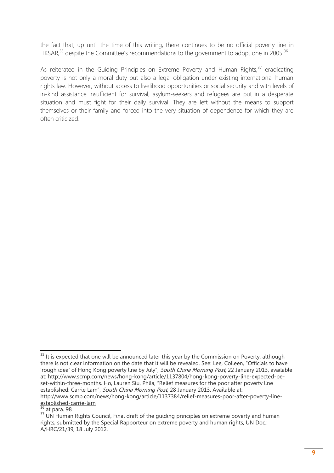the fact that, up until the time of this writing, there continues to be no official poverty line in HKSAR, $35$  despite the Committee's recommendations to the government to adopt one in 2005.  $36$ 

As reiterated in the Guiding Principles on Extreme Poverty and Human Rights,<sup>37</sup> eradicating poverty is not only a moral duty but also a legal obligation under existing international human rights law. However, without access to livelihood opportunities or social security and with levels of in-kind assistance insufficient for survival, asylum-seekers and refugees are put in a desperate situation and must fight for their daily survival. They are left without the means to support themselves or their family and forced into the very situation of dependence for which they are often criticized.

  $35$  It is expected that one will be announced later this year by the Commission on Poverty, although there is not clear information on the date that it will be revealed. See: Lee, Colleen, "Officials to have 'rough idea' of Hong Kong poverty line by July", South China Morning Post, 22 January 2013, available at: [http://www.scmp.com/news/hong-kong/article/1137804/hong-kong-poverty-line-expected-be](http://www.scmp.com/news/hong-kong/article/1137804/hong-kong-poverty-line-expected-be-set-within-three-months)[set-within-three-months](http://www.scmp.com/news/hong-kong/article/1137804/hong-kong-poverty-line-expected-be-set-within-three-months). Ho, Lauren Siu, Phila, "Relief measures for the poor after poverty line established: Carrie Lam", South China Morning Post, 28 January 2013. Available at: [http://www.scmp.com/news/hong-kong/article/1137384/relief-measures-poor-after-poverty-line](http://www.scmp.com/news/hong-kong/article/1137384/relief-measures-poor-after-poverty-line-established-carrie-lam)[established-carrie-lam](http://www.scmp.com/news/hong-kong/article/1137384/relief-measures-poor-after-poverty-line-established-carrie-lam)

at para. 98

<sup>&</sup>lt;sup>37</sup> UN Human Rights Council, Final draft of the guiding principles on extreme poverty and human rights, submitted by the Special Rapporteur on extreme poverty and human rights, UN Doc.: A/HRC/21/39, 18 July 2012.